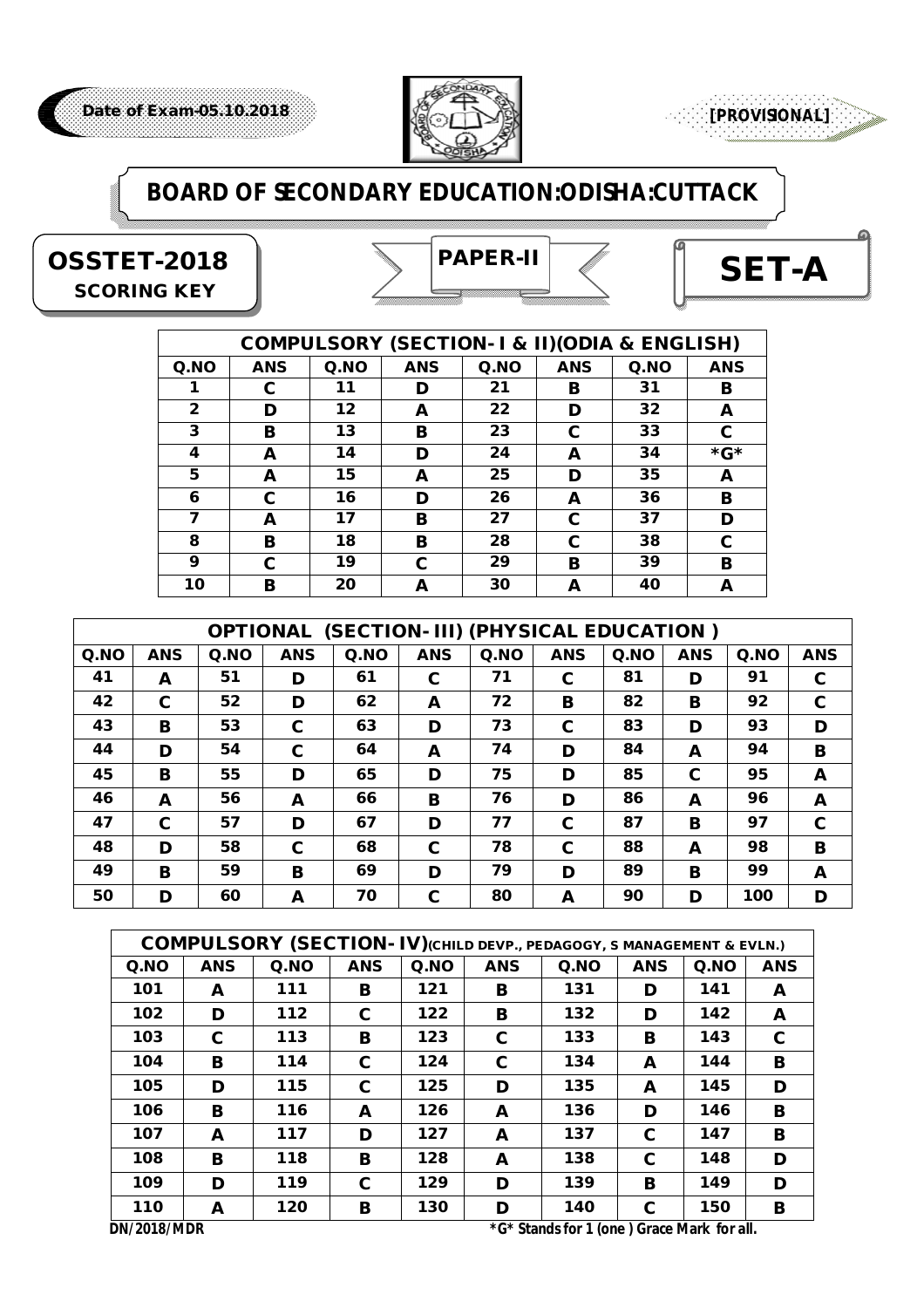



### **OSSTET-2018** *SCORING KEY*

| <b>PAPER-II</b> |  |
|-----------------|--|
|                 |  |



|      |            |      |            | <b>COMPULSORY (SECTION- I &amp; II) (ODIA &amp; ENGLISH)</b> |            |             |            |
|------|------------|------|------------|--------------------------------------------------------------|------------|-------------|------------|
| Q.NO | <b>ANS</b> | Q.NO | <b>ANS</b> | Q.NO                                                         | <b>ANS</b> | $Q$ .<br>NO | <b>ANS</b> |
| 1    | С          | 11   | D          | 21                                                           | в          | 31          | в          |
| 2    | D          | 12   | A          | 22                                                           | D          | 32          | A          |
| 3    | в          | 13   | в          | 23                                                           | С          | 33          | C          |
| 4    | A          | 14   | D          | 24                                                           | A          | 34          | *G*        |
| 5    | A          | 15   | A          | 25                                                           | D          | 35          | A          |
| 6    | C          | 16   | D          | 26                                                           | A          | 36          | в          |
| 7    | A          | 17   | в          | 27                                                           | С          | 37          | D          |
| 8    | в          | 18   | в          | 28                                                           | C          | 38          | C          |
| 9    | C          | 19   | C          | 29                                                           | в          | 39          | в          |
| 10   | в          | 20   | A          | 30                                                           | А          | 40          | A          |

|      | <b>OPTIONAL (SECTION- III) (PHYSICAL EDUCATION)</b> |      |            |      |            |      |            |      |            |     |            |  |
|------|-----------------------------------------------------|------|------------|------|------------|------|------------|------|------------|-----|------------|--|
| Q.NO | <b>ANS</b>                                          | Q.NO | <b>ANS</b> | Q.NO | <b>ANS</b> | Q.NO | <b>ANS</b> | Q.NO | <b>ANS</b> | QNO | <b>ANS</b> |  |
| 41   | A                                                   | 51   | D          | 61   | С          | 71   | C          | 81   | D          | 91  | C          |  |
| 42   | C                                                   | 52   | D          | 62   | A          | 72   | в          | 82   | в          | 92  | C          |  |
| 43   | в                                                   | 53   | C          | 63   | D          | 73   | C          | 83   | D          | 93  | D          |  |
| 44   | D                                                   | 54   | C          | 64   | A          | 74   | D          | 84   | A          | 94  | B          |  |
| 45   | в                                                   | 55   | D          | 65   | D          | 75   | D          | 85   | C          | 95  | A          |  |
| 46   | A                                                   | 56   | A          | 66   | в          | 76   | D          | 86   | A          | 96  | A          |  |
| 47   | C                                                   | 57   | D          | 67   | D          | 77   | C          | 87   | B          | 97  | C          |  |
| 48   | D                                                   | 58   | C          | 68   | C          | 78   | C          | 88   | A          | 98  | B          |  |
| 49   | в                                                   | 59   | B          | 69   | D          | 79   | D          | 89   | в          | 99  | A          |  |
| 50   | D                                                   | 60   | A          | 70   | С          | 80   | A          | 90   | D          | 100 | D          |  |

|                       | <b>COMPULSORY (SECTION- IV) (CHILD DEVP., PEDAGOGY, S MANAGEMENT &amp; EVLN.)</b> |      |            |      |            |             |            |             |            |  |  |
|-----------------------|-----------------------------------------------------------------------------------|------|------------|------|------------|-------------|------------|-------------|------------|--|--|
| $Q$ .<br>NO           | <b>ANS</b>                                                                        | Q.NO | <b>ANS</b> | Q.NO | <b>ANS</b> | $Q$ .<br>NO | <b>ANS</b> | $Q$ .<br>NO | <b>ANS</b> |  |  |
| 101                   | A                                                                                 | 111  | в          | 121  | в          | 131         | D          | 141         | A          |  |  |
| 102                   | D                                                                                 | 112  | C          | 122  | в          | 132         | D          | 142         | A          |  |  |
| 103                   | С                                                                                 | 113  | в          | 123  | C          | 133         | в          | 143         | C          |  |  |
| 104                   | в                                                                                 | 114  | C          | 124  | C          | 134         | A          | 144         | в          |  |  |
| 105                   | D                                                                                 | 115  | С          | 125  | D          | 135         | A          | 145         | D          |  |  |
| 106                   | в                                                                                 | 116  | A          | 126  | A          | 136         | D          | 146         | в          |  |  |
| 107                   | A                                                                                 | 117  | D          | 127  | A          | 137         | C          | 147         | в          |  |  |
| 108                   | в                                                                                 | 118  | в          | 128  | A          | 138         | C          | 148         | D          |  |  |
| 109                   | D                                                                                 | 119  | С          | 129  | D          | 139         | в          | 149         | D          |  |  |
| 110                   | A                                                                                 | 120  | в          | 130  | D          | 140         | C          | 150         | в          |  |  |
| <b>DAI 10040 BADD</b> |                                                                                   |      |            |      |            |             |            |             |            |  |  |

*DN/2018/MDR* **\*G\* Stands for 1 (one ) Grace Mark for all.**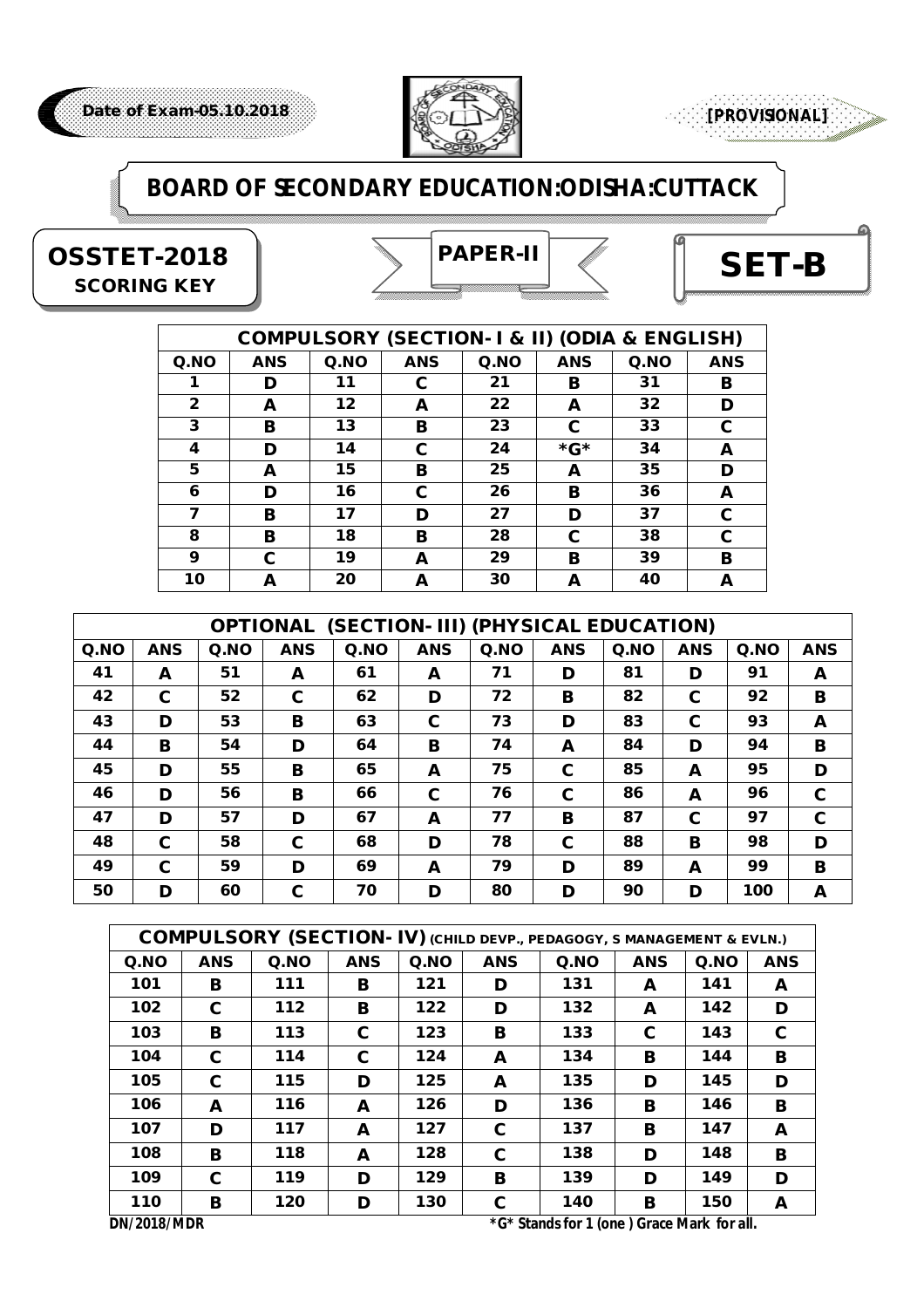

### **OSSTET-2018** *SCORING KEY*

| PAPER-II |  |
|----------|--|
|          |  |



**[PROVISIONAL]**

|              | <b>COMPULSORY (SECTION- I &amp; II) (ODIA &amp; ENGLISH)</b> |         |            |      |            |             |            |  |  |  |  |
|--------------|--------------------------------------------------------------|---------|------------|------|------------|-------------|------------|--|--|--|--|
| Q.NO         | <b>ANS</b>                                                   | $Q$ .NO | <b>ANS</b> | Q.NO | <b>ANS</b> | $Q$ .<br>NO | <b>ANS</b> |  |  |  |  |
| 1            | D                                                            | 11      | С          | 21   | в          | 31          | в          |  |  |  |  |
| $\mathbf{2}$ | A                                                            | 12      | A          | 22   | A          | 32          | D          |  |  |  |  |
| 3            | в                                                            | 13      | в          | 23   | С          | 33          | C          |  |  |  |  |
| 4            | D                                                            | 14      | С          | 24   | *G*        | 34          | A          |  |  |  |  |
| 5            | A                                                            | 15      | в          | 25   | A          | 35          | D          |  |  |  |  |
| 6            | D                                                            | 16      | C          | 26   | в          | 36          | A          |  |  |  |  |
| 7            | в                                                            | 17      | D          | 27   | D          | 37          | C          |  |  |  |  |
| 8            | в                                                            | 18      | в          | 28   | C          | 38          | C          |  |  |  |  |
| 9            | C                                                            | 19      | A          | 29   | в          | 39          | в          |  |  |  |  |
| 10           | A                                                            | 20      | А          | 30   | А          | 40          | A          |  |  |  |  |

|      | (SECTION- III) (PHYSICAL EDUCATION)<br><b>OPTIONAL</b> |             |            |      |            |                |            |      |            |      |             |  |
|------|--------------------------------------------------------|-------------|------------|------|------------|----------------|------------|------|------------|------|-------------|--|
| Q.NO | <b>ANS</b>                                             | $Q$ .<br>NO | <b>ANS</b> | Q.NO | <b>ANS</b> | Q <sub>n</sub> | <b>ANS</b> | Q.NO | <b>ANS</b> | Q.NO | <b>ANS</b>  |  |
| 41   | A                                                      | 51          | A          | 61   | A          | 71             | D          | 81   | D          | 91   | A           |  |
| 42   | C                                                      | 52          | C          | 62   | D          | 72             | в          | 82   | C          | 92   | B           |  |
| 43   | D                                                      | 53          | в          | 63   | C          | 73             | D          | 83   | C          | 93   | A           |  |
| 44   | в                                                      | 54          | D          | 64   | в          | 74             | A          | 84   | D          | 94   | B           |  |
| 45   | D                                                      | 55          | в          | 65   | A          | 75             | C          | 85   | A          | 95   | D           |  |
| 46   | D                                                      | 56          | B          | 66   | С          | 76             | C          | 86   | A          | 96   | $\mathbf c$ |  |
| 47   | D                                                      | 57          | D          | 67   | A          | 77             | в          | 87   | C          | 97   | C           |  |
| 48   | C                                                      | 58          | C          | 68   | D          | 78             | C          | 88   | в          | 98   | D           |  |
| 49   | C                                                      | 59          | D          | 69   | A          | 79             | D          | 89   | A          | 99   | B           |  |
| 50   | D                                                      | 60          | С          | 70   | D          | 80             | D          | 90   | D          | 100  | A           |  |

|                       | <b>COMPULSORY (SECTION-IV)</b> (CHILD DEVP., PEDAGOGY, S MANAGEMENT & EVLN.) |      |            |      |              |     |            |     |            |  |  |
|-----------------------|------------------------------------------------------------------------------|------|------------|------|--------------|-----|------------|-----|------------|--|--|
| $Q$ .<br>NO           | <b>ANS</b>                                                                   | Q.NO | <b>ANS</b> | Q.NO | <b>ANS</b>   | QNO | <b>ANS</b> | QNO | <b>ANS</b> |  |  |
| 101                   | в                                                                            | 111  | в          | 121  | D            | 131 | A          | 141 | A          |  |  |
| 102                   | C                                                                            | 112  | в          | 122  | D            | 132 | A          | 142 | D          |  |  |
| 103                   | в                                                                            | 113  | C          | 123  | в            | 133 | С          | 143 | C          |  |  |
| 104                   | C                                                                            | 114  | C          | 124  | A            | 134 | в          | 144 | в          |  |  |
| 105                   | C                                                                            | 115  | D          | 125  | A            | 135 | D          | 145 | D          |  |  |
| 106                   | A                                                                            | 116  | A          | 126  | D            | 136 | в          | 146 | в          |  |  |
| 107                   | D                                                                            | 117  | A          | 127  | C            | 137 | в          | 147 | A          |  |  |
| 108                   | в                                                                            | 118  | A          | 128  | C            | 138 | D          | 148 | в          |  |  |
| 109                   | C                                                                            | 119  | D          | 129  | в            | 139 | D          | 149 | D          |  |  |
| 110                   | в                                                                            | 120  | D          | 130  | C            | 140 | в          | 150 | A          |  |  |
| <b>BILIAAJA ILIBR</b> |                                                                              |      |            |      | <b>+0+0+</b> |     |            | .   |            |  |  |

*DN/2018/MDR* **\*G\* Stands for 1 (one ) Grace Mark for all.**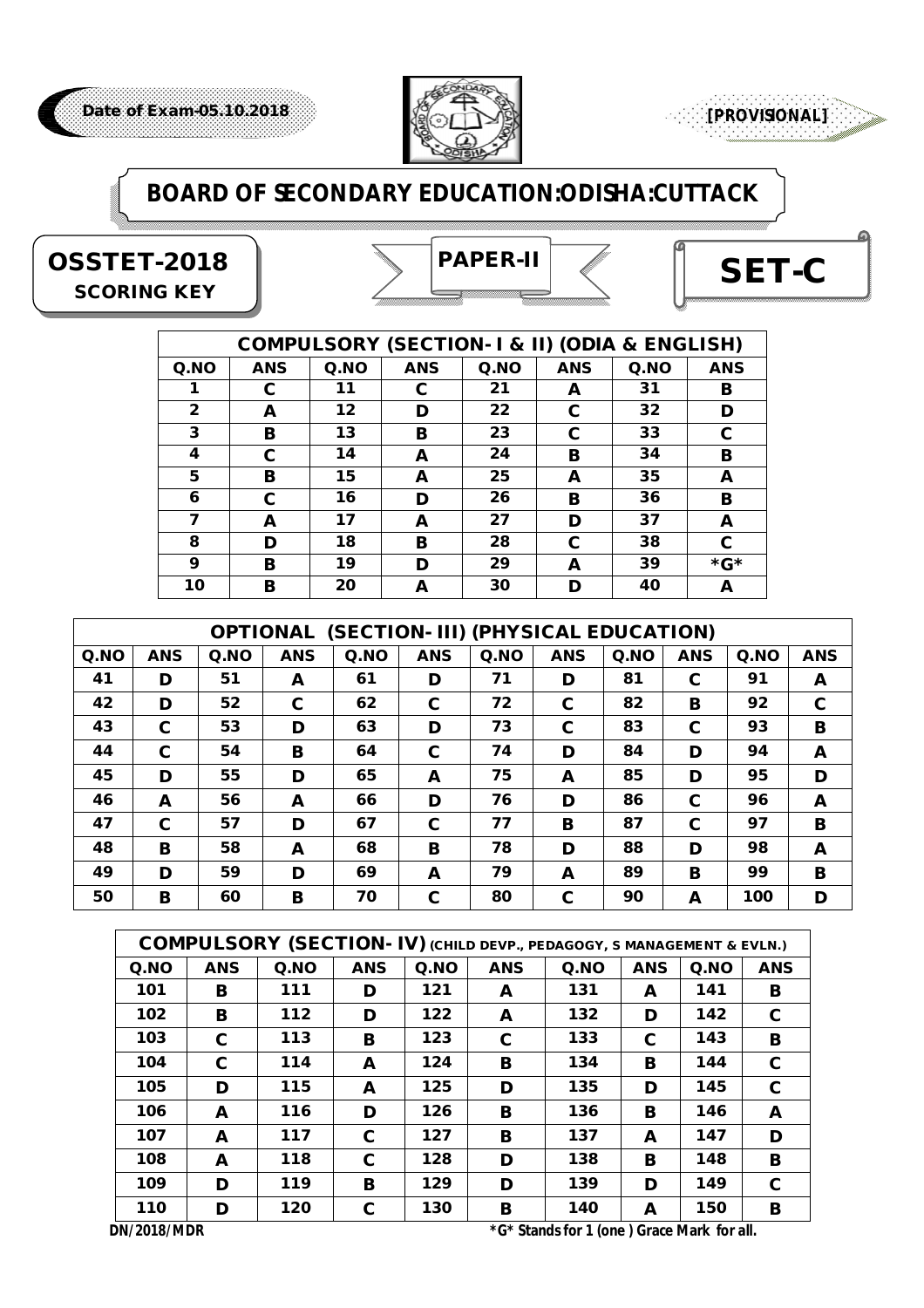



#### **OSSTET-2018** *SCORING KEY*

| PAPER-II |  |
|----------|--|
|          |  |
|          |  |



| <b>COMPULSORY (SECTION- I &amp; II) (ODIA &amp; ENGLISH)</b> |            |             |            |      |            |      |            |  |  |  |
|--------------------------------------------------------------|------------|-------------|------------|------|------------|------|------------|--|--|--|
| Q.NO                                                         | <b>ANS</b> | $Q$ .<br>NO | <b>ANS</b> | Q.NO | <b>ANS</b> | Q.NO | <b>ANS</b> |  |  |  |
| 1                                                            | С          | 11          | С          | 21   | A          | 31   | в          |  |  |  |
| 2                                                            | A          | 12          | D          | 22   | C          | 32   | D          |  |  |  |
| 3                                                            | в          | 13          | в          | 23   | C          | 33   | C          |  |  |  |
| 4                                                            | C          | 14          | A          | 24   | в          | 34   | В          |  |  |  |
| 5                                                            | в          | 15          | A          | 25   | A          | 35   | A          |  |  |  |
| 6                                                            | С          | 16          | D          | 26   | в          | 36   | в          |  |  |  |
| 7                                                            | A          | 17          | A          | 27   | D          | 37   | A          |  |  |  |
| 8                                                            | D          | 18          | в          | 28   | C          | 38   | C          |  |  |  |
| 9                                                            | в          | 19          | D          | 29   | A          | 39   | $*G*$      |  |  |  |
| 10                                                           | в          | 20          | A          | 30   | D          | 40   | A          |  |  |  |

|      | (SECTION- III) (PHYSICAL EDUCATION)<br><b>OPTIONAL</b> |      |            |      |            |     |            |      |            |      |             |  |
|------|--------------------------------------------------------|------|------------|------|------------|-----|------------|------|------------|------|-------------|--|
| Q.NO | <b>ANS</b>                                             | Q.NO | <b>ANS</b> | Q.NO | <b>ANS</b> | QNO | <b>ANS</b> | Q.NO | <b>ANS</b> | Q.NO | <b>ANS</b>  |  |
| 41   | D                                                      | 51   | A          | 61   | D          | 71  | D          | 81   | C          | 91   | A           |  |
| 42   | D                                                      | 52   | C          | 62   | C          | 72  | C          | 82   | в          | 92   | $\mathbf c$ |  |
| 43   | C                                                      | 53   | D          | 63   | D          | 73  | C          | 83   | C          | 93   | B           |  |
| 44   | C                                                      | 54   | в          | 64   | C          | 74  | D          | 84   | D          | 94   | A           |  |
| 45   | D                                                      | 55   | D          | 65   | A          | 75  | A          | 85   | D          | 95   | D           |  |
| 46   | A                                                      | 56   | A          | 66   | D          | 76  | D          | 86   | C          | 96   | A           |  |
| 47   | C                                                      | 57   | D          | 67   | C          | 77  | в          | 87   | C          | 97   | B           |  |
| 48   | в                                                      | 58   | A          | 68   | B          | 78  | D          | 88   | D          | 98   | A           |  |
| 49   | D                                                      | 59   | D          | 69   | A          | 79  | A          | 89   | B          | 99   | B           |  |
| 50   | в                                                      | 60   | B          | 70   | C          | 80  | C          | 90   | A          | 100  | D           |  |

|          | <b>COMPULSORY (SECTION-IV)</b> (CHILD DEVP., PEDAGOGY, S MANAGEMENT & EVLN.) |      |            |     |            |          |            |     |            |  |  |  |
|----------|------------------------------------------------------------------------------|------|------------|-----|------------|----------|------------|-----|------------|--|--|--|
| $Q$ . NO | <b>ANS</b>                                                                   | Q.NO | <b>ANS</b> | QNO | <b>ANS</b> | $Q$ . NO | <b>ANS</b> | QNO | <b>ANS</b> |  |  |  |
| 101      | в                                                                            | 111  | D          | 121 | A          | 131      | A          | 141 | в          |  |  |  |
| 102      | в                                                                            | 112  | D          | 122 | A          | 132      | D          | 142 | C          |  |  |  |
| 103      | C                                                                            | 113  | в          | 123 | C          | 133      | C          | 143 | в          |  |  |  |
| 104      | C                                                                            | 114  | A          | 124 | в          | 134      | в          | 144 | C          |  |  |  |
| 105      | D                                                                            | 115  | A          | 125 | D          | 135      | D          | 145 | C          |  |  |  |
| 106      | A                                                                            | 116  | D          | 126 | в          | 136      | в          | 146 | A          |  |  |  |
| 107      | A                                                                            | 117  | C          | 127 | в          | 137      | A          | 147 | D          |  |  |  |
| 108      | A                                                                            | 118  | C          | 128 | D          | 138      | в          | 148 | в          |  |  |  |
| 109      | D                                                                            | 119  | в          | 129 | D          | 139      | D          | 149 | C          |  |  |  |
| 110      | D                                                                            | 120  | С          | 130 | в          | 140      | A          | 150 | в          |  |  |  |

*DN/2018/MDR* **\*G\* Stands for 1 (one ) Grace Mark for all.**